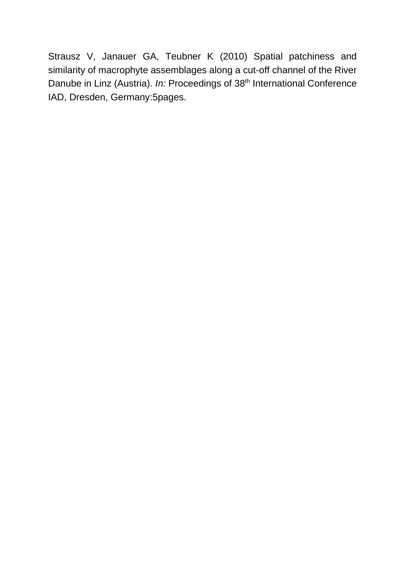Strausz V, Janauer GA, Teubner K (2010) Spatial patchiness and similarity of macrophyte assemblages along a cut-off channel of the River Danube in Linz (Austria). *In:* Proceedings of 38<sup>th</sup> International Conference IAD, Dresden, Germany:5pages.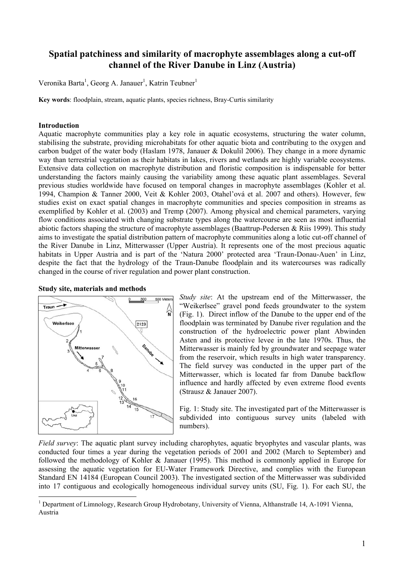# **Spatial patchiness and similarity of macrophyte assemblages along a cut-off channel of the River Danube in Linz (Austria)**

Veronika Barta<sup>1</sup>, Georg A. Janauer<sup>1</sup>, Katrin Teubner<sup>1</sup>

**Key words**: floodplain, stream, aquatic plants, species richness, Bray-Curtis similarity

### **Introduction**

Aquatic macrophyte communities play a key role in aquatic ecosystems, structuring the water column, stabilising the substrate, providing microhabitats for other aquatic biota and contributing to the oxygen and carbon budget of the water body (Haslam 1978, Janauer & Dokulil 2006). They change in a more dynamic way than terrestrial vegetation as their habitats in lakes, rivers and wetlands are highly variable ecosystems. Extensive data collection on macrophyte distribution and floristic composition is indispensable for better understanding the factors mainly causing the variability among these aquatic plant assemblages. Several previous studies worldwide have focused on temporal changes in macrophyte assemblages (Kohler et al. 1994, Champion & Tanner 2000, Veit & Kohler 2003, Otahel'ová et al. 2007 and others). However, few studies exist on exact spatial changes in macrophyte communities and species composition in streams as exemplified by Kohler et al. (2003) and Tremp (2007). Among physical and chemical parameters, varying flow conditions associated with changing substrate types along the watercourse are seen as most influential abiotic factors shaping the structure of macrophyte assemblages (Baattrup-Pedersen & Riis 1999). This study aims to investigate the spatial distribution pattern of macrophyte communities along a lotic cut-off channel of the River Danube in Linz, Mitterwasser (Upper Austria). It represents one of the most precious aquatic habitats in Upper Austria and is part of the 'Natura 2000' protected area 'Traun-Donau-Auen' in Linz, despite the fact that the hydrology of the Traun-Danube floodplain and its watercourses was radically changed in the course of river regulation and power plant construction.





*Study site*: At the upstream end of the Mitterwasser, the "Weikerlsee" gravel pond feeds groundwater to the system (Fig. 1). Direct inflow of the Danube to the upper end of the floodplain was terminated by Danube river regulation and the construction of the hydroelectric power plant Abwinden Asten and its protective levee in the late 1970s. Thus, the Mitterwasser is mainly fed by groundwater and seepage water from the reservoir, which results in high water transparency. The field survey was conducted in the upper part of the Mitterwasser, which is located far from Danube backflow influence and hardly affected by even extreme flood events (Strausz & Janauer 2007).

Fig. 1: Study site. The investigated part of the Mitterwasser is subdivided into contiguous survey units (labeled with numbers).

*Field survey*: The aquatic plant survey including charophytes, aquatic bryophytes and vascular plants, was conducted four times a year during the vegetation periods of 2001 and 2002 (March to September) and followed the methodology of Kohler & Janauer (1995). This method is commonly applied in Europe for assessing the aquatic vegetation for EU-Water Framework Directive, and complies with the European Standard EN 14184 (European Council 2003). The investigated section of the Mitterwasser was subdivided into 17 contiguous and ecologically homogeneous individual survey units (SU, Fig. 1). For each SU, the

 $\frac{1}{1}$ <sup>1</sup> Department of Limnology, Research Group Hydrobotany, University of Vienna, Althanstraße 14, A-1091 Vienna, Austria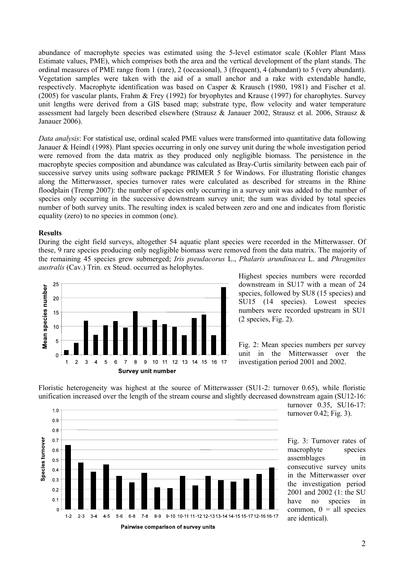abundance of macrophyte species was estimated using the 5-level estimator scale (Kohler Plant Mass Estimate values, PME), which comprises both the area and the vertical development of the plant stands. The ordinal measures of PME range from 1 (rare), 2 (occasional), 3 (frequent), 4 (abundant) to 5 (very abundant). Vegetation samples were taken with the aid of a small anchor and a rake with extendable handle, respectively. Macrophyte identification was based on Casper & Krausch (1980, 1981) and Fischer et al. (2005) for vascular plants, Frahm & Frey (1992) for bryophytes and Krause (1997) for charophytes. Survey unit lengths were derived from a GIS based map; substrate type, flow velocity and water temperature assessment had largely been described elsewhere (Strausz & Janauer 2002, Strausz et al. 2006, Strausz & Janauer 2006).

*Data analysis*: For statistical use, ordinal scaled PME values were transformed into quantitative data following Janauer & Heindl (1998). Plant species occurring in only one survey unit during the whole investigation period were removed from the data matrix as they produced only negligible biomass. The persistence in the macrophyte species composition and abundance was calculated as Bray-Curtis similarity between each pair of successive survey units using software package PRIMER 5 for Windows. For illustrating floristic changes along the Mitterwasser, species turnover rates were calculated as described for streams in the Rhine floodplain (Tremp 2007): the number of species only occurring in a survey unit was added to the number of species only occurring in the successive downstream survey unit; the sum was divided by total species number of both survey units. The resulting index is scaled between zero and one and indicates from floristic equality (zero) to no species in common (one).

#### **Results**

During the eight field surveys, altogether 54 aquatic plant species were recorded in the Mitterwasser. Of these, 9 rare species producing only negligible biomass were removed from the data matrix. The majority of the remaining 45 species grew submerged; *Iris pseudacorus* L., *Phalaris arundinacea* L. and *Phragmites australis* (Cav.) Trin. ex Steud. occurred as helophytes.



Highest species numbers were recorded downstream in SU17 with a mean of 24 species, followed by SU8 (15 species) and SU15 (14 species). Lowest species numbers were recorded upstream in SU1 (2 species, Fig. 2).

Fig. 2: Mean species numbers per survey unit in the Mitterwasser over the investigation period 2001 and 2002.

Floristic heterogeneity was highest at the source of Mitterwasser (SU1-2: turnover 0.65), while floristic unification increased over the length of the stream course and slightly decreased downstream again (SU12-16:



turnover 0.35, SU16-17: turnover 0.42; Fig. 3).

Fig. 3: Turnover rates of macrophyte species assemblages in consecutive survey units in the Mitterwasser over the investigation period 2001 and 2002 (1: the SU have no species in common,  $0 =$ all species are identical).

<sup>2</sup>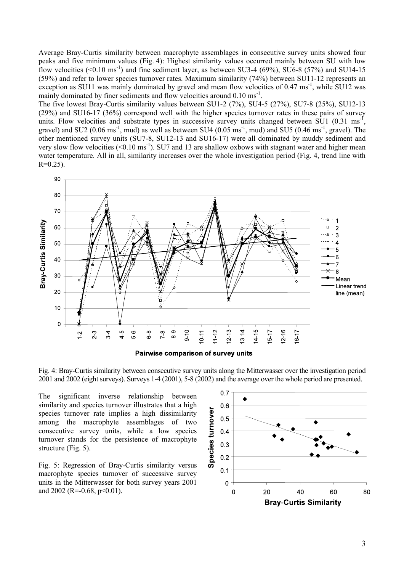Average Bray-Curtis similarity between macrophyte assemblages in consecutive survey units showed four peaks and five minimum values (Fig. 4): Highest similarity values occurred mainly between SU with low flow velocities  $( $0.10 \text{ ms}^{-1}$ )$  and fine sediment layer, as between SU3-4 (69%), SU6-8 (57%) and SU14-15 (59%) and refer to lower species turnover rates. Maximum similarity (74%) between SU11-12 represents an exception as SU11 was mainly dominated by gravel and mean flow velocities of 0.47 ms<sup>-1</sup>, while SU12 was mainly dominated by finer sediments and flow velocities around 0.10 ms<sup>-1</sup>.

The five lowest Bray-Curtis similarity values between SU1-2 (7%), SU4-5 (27%), SU7-8 (25%), SU12-13 (29%) and SU16-17 (36%) correspond well with the higher species turnover rates in these pairs of survey units. Flow velocities and substrate types in successive survey units changed between  $\rm SU1$  (0.31 ms<sup>-1</sup>, gravel) and SU2 (0.06 ms<sup>-1</sup>, mud) as well as between SU4 (0.05 ms<sup>-1</sup>, mud) and SU5 (0.46 ms<sup>-1</sup>, gravel). The other mentioned survey units (SU7-8, SU12-13 and SU16-17) were all dominated by muddy sediment and very slow flow velocities  $( $0.10 \text{ ms}^{-1}$ ). SU7 and 13 are shallow oxbows with stagnant water and higher mean$ water temperature. All in all, similarity increases over the whole investigation period (Fig. 4, trend line with  $R=0.25$ ).



Fig. 4: Bray-Curtis similarity between consecutive survey units along the Mitterwasser over the investigation period 2001 and 2002 (eight surveys). Surveys 1-4 (2001), 5-8 (2002) and the average over the whole period are presented.

The significant inverse relationship between similarity and species turnover illustrates that a high species turnover rate implies a high dissimilarity among the macrophyte assemblages of two consecutive survey units, while a low species turnover stands for the persistence of macrophyte structure (Fig. 5).

Fig. 5: Regression of Bray-Curtis similarity versus macrophyte species turnover of successive survey units in the Mitterwasser for both survey years 2001 and 2002 (R=-0.68, p<0.01).

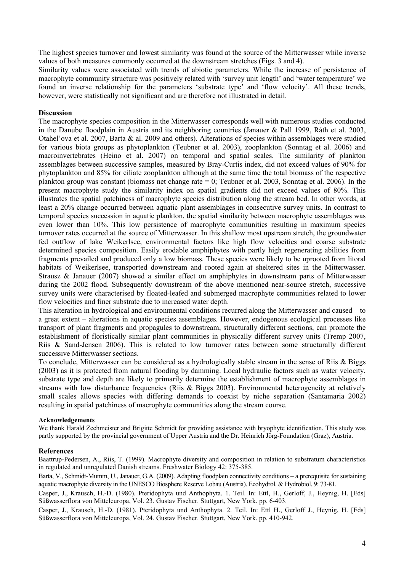The highest species turnover and lowest similarity was found at the source of the Mitterwasser while inverse values of both measures commonly occurred at the downstream stretches (Figs. 3 and 4).

Similarity values were associated with trends of abiotic parameters. While the increase of persistence of macrophyte community structure was positively related with 'survey unit length' and 'water temperature' we found an inverse relationship for the parameters 'substrate type' and 'flow velocity'. All these trends, however, were statistically not significant and are therefore not illustrated in detail.

## **Discussion**

The macrophyte species composition in the Mitterwasser corresponds well with numerous studies conducted in the Danube floodplain in Austria and its neighboring countries (Janauer & Pall 1999, Ráth et al. 2003, Otahel'ova et al. 2007, Barta & al. 2009 and others). Alterations of species within assemblages were studied for various biota groups as phytoplankton (Teubner et al. 2003), zooplankton (Sonntag et al. 2006) and macroinvertebrates (Heino et al. 2007) on temporal and spatial scales. The similarity of plankton assemblages between successive samples, measured by Bray-Curtis index, did not exceed values of 90% for phytoplankton and 85% for ciliate zooplankton although at the same time the total biomass of the respective plankton group was constant (biomass net change rate = 0; Teubner et al. 2003, Sonntag et al. 2006). In the present macrophyte study the similarity index on spatial gradients did not exceed values of 80%. This illustrates the spatial patchiness of macrophyte species distribution along the stream bed. In other words, at least a 20% change occurred between aquatic plant assemblages in consecutive survey units. In contrast to temporal species succession in aquatic plankton, the spatial similarity between macrophyte assemblages was even lower than 10%. This low persistence of macrophyte communities resulting in maximum species turnover rates occurred at the source of Mitterwasser. In this shallow most upstream stretch, the groundwater fed outflow of lake Weikerlsee, environmental factors like high flow velocities and coarse substrate determined species composition. Easily erodable amphiphytes with partly high regenerating abilities from fragments prevailed and produced only a low biomass. These species were likely to be uprooted from litoral habitats of Weikerlsee, transported downstream and rooted again at sheltered sites in the Mitterwasser. Strausz & Janauer (2007) showed a similar effect on amphiphytes in downstream parts of Mitterwasser during the 2002 flood. Subsequently downstream of the above mentioned near-source stretch, successive survey units were characterised by floated-leafed and submerged macrophyte communities related to lower flow velocities and finer substrate due to increased water depth.

This alteration in hydrological and environmental conditions recurred along the Mitterwasser and caused – to a great extent – alterations in aquatic species assemblages. However, endogenous ecological processes like transport of plant fragments and propagules to downstream, structurally different sections, can promote the establishment of floristically similar plant communities in physically different survey units (Tremp 2007, Riis & Sand-Jensen 2006). This is related to low turnover rates between some structurally different successive Mitterwasser sections.

To conclude, Mitterwasser can be considered as a hydrologically stable stream in the sense of Riis & Biggs (2003) as it is protected from natural flooding by damming. Local hydraulic factors such as water velocity, substrate type and depth are likely to primarily determine the establishment of macrophyte assemblages in streams with low disturbance frequencies (Riis & Biggs 2003). Environmental heterogeneity at relatively small scales allows species with differing demands to coexist by niche separation (Santamaria 2002) resulting in spatial patchiness of macrophyte communities along the stream course.

### **Acknowledgements**

We thank Harald Zechmeister and Brigitte Schmidt for providing assistance with bryophyte identification. This study was partly supported by the provincial government of Upper Austria and the Dr. Heinrich Jörg-Foundation (Graz), Austria.

#### **References**

Baattrup-Pedersen, A., Riis, T. (1999). Macrophyte diversity and composition in relation to substratum characteristics in regulated and unregulated Danish streams. Freshwater Biology 42: 375-385.

Barta, V., Schmidt-Mumm, U., Janauer, G.A. (2009). Adapting floodplain connectivity conditions – a prerequisite for sustaining aquatic macrophyte diversity in the UNESCO Biosphere Reserve Lobau (Austria). Ecohydrol. & Hydrobiol. 9: 73-81.

Casper, J., Krausch, H.-D. (1980). Pteridophyta und Anthophyta. 1. Teil. In: Ettl, H., Gerloff, J., Heynig, H. [Eds] Süßwasserflora von Mitteleuropa, Vol. 23. Gustav Fischer. Stuttgart, New York. pp. 6-403.

Casper, J., Krausch, H.-D. (1981). Pteridophyta und Anthophyta. 2. Teil. In: Ettl H., Gerloff J., Heynig, H. [Eds] Süßwasserflora von Mitteleuropa, Vol. 24. Gustav Fischer. Stuttgart, New York. pp. 410-942.